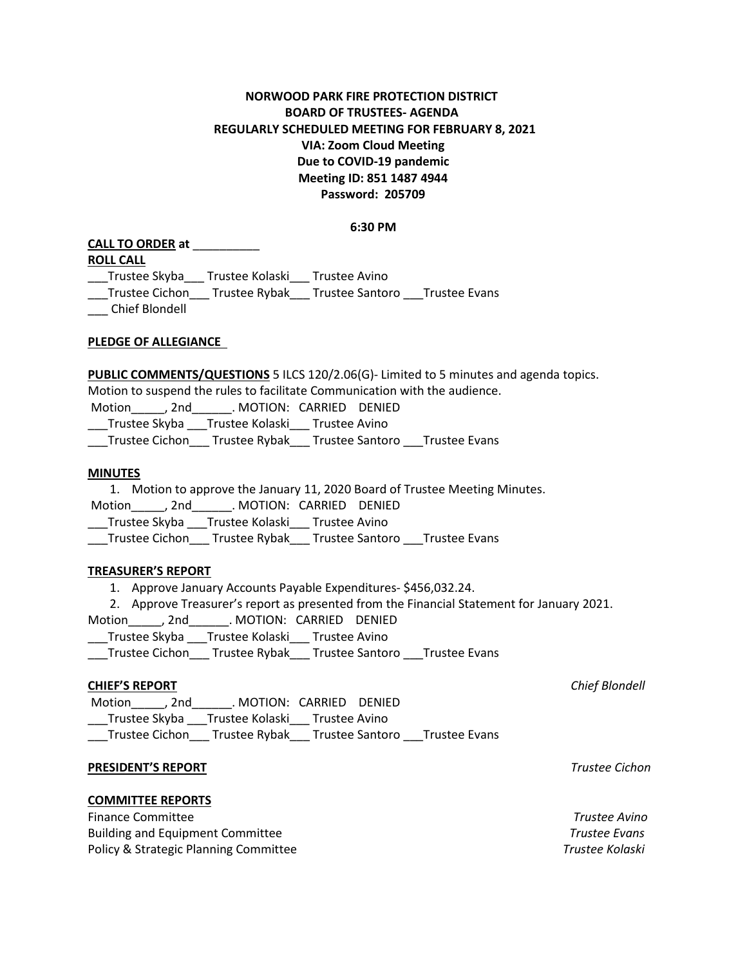# **NORWOOD PARK FIRE PROTECTION DISTRICT BOARD OF TRUSTEES- AGENDA REGULARLY SCHEDULED MEETING FOR FEBRUARY 8, 2021 VIA: Zoom Cloud Meeting Due to COVID-19 pandemic Meeting ID: 851 1487 4944 Password: 205709**

#### **6:30 PM**

**CALL TO ORDER at** \_\_\_\_\_\_\_\_\_\_ **ROLL CALL** \_\_\_Trustee Skyba\_\_\_ Trustee Kolaski\_\_\_ Trustee Avino \_\_\_Trustee Cichon\_\_\_ Trustee Rybak\_\_\_ Trustee Santoro \_\_\_ Trustee Evans \_\_\_ Chief Blondell

### **PLEDGE OF ALLEGIANCE**

**PUBLIC COMMENTS/QUESTIONS** 5 ILCS 120/2.06(G)- Limited to 5 minutes and agenda topics. Motion to suspend the rules to facilitate Communication with the audience.

Motion\_\_\_\_\_, 2nd\_\_\_\_\_\_. MOTION: CARRIED DENIED

\_\_\_Trustee Skyba \_\_\_Trustee Kolaski\_\_\_ Trustee Avino

\_\_\_Trustee Cichon\_\_\_ Trustee Rybak\_\_\_ Trustee Santoro \_\_\_Trustee Evans

#### **MINUTES**

1. Motion to approve the January 11, 2020 Board of Trustee Meeting Minutes.

Motion , 2nd . MOTION: CARRIED DENIED

\_\_\_Trustee Skyba \_\_\_Trustee Kolaski\_\_\_ Trustee Avino

\_\_\_Trustee Cichon\_\_\_ Trustee Rybak\_\_\_ Trustee Santoro \_\_\_Trustee Evans

### **TREASURER'S REPORT**

1. Approve January Accounts Payable Expenditures- \$456,032.24.

2. Approve Treasurer's report as presented from the Financial Statement for January 2021.

Motion\_\_\_\_\_, 2nd\_\_\_\_\_\_. MOTION: CARRIED DENIED

\_\_\_Trustee Skyba \_\_\_Trustee Kolaski\_\_\_ Trustee Avino

Trustee Cichon Trustee Rybak Trustee Santoro Trustee Evans

### **CHIEF'S REPORT** *Chief Blondell*

Motion\_\_\_\_\_, 2nd\_\_\_\_\_\_. MOTION: CARRIED DENIED \_\_\_Trustee Skyba \_\_\_Trustee Kolaski\_\_\_ Trustee Avino \_\_\_Trustee Cichon\_\_\_ Trustee Rybak\_\_\_ Trustee Santoro \_\_\_Trustee Evans

## **PRESIDENT'S REPORT** *Trustee Cichon*

### **COMMITTEE REPORTS**

Finance Committee *Trustee Avino* Building and Equipment Committee *Trustee Evans* Policy & Strategic Planning Committee *Trustee Kolaski*